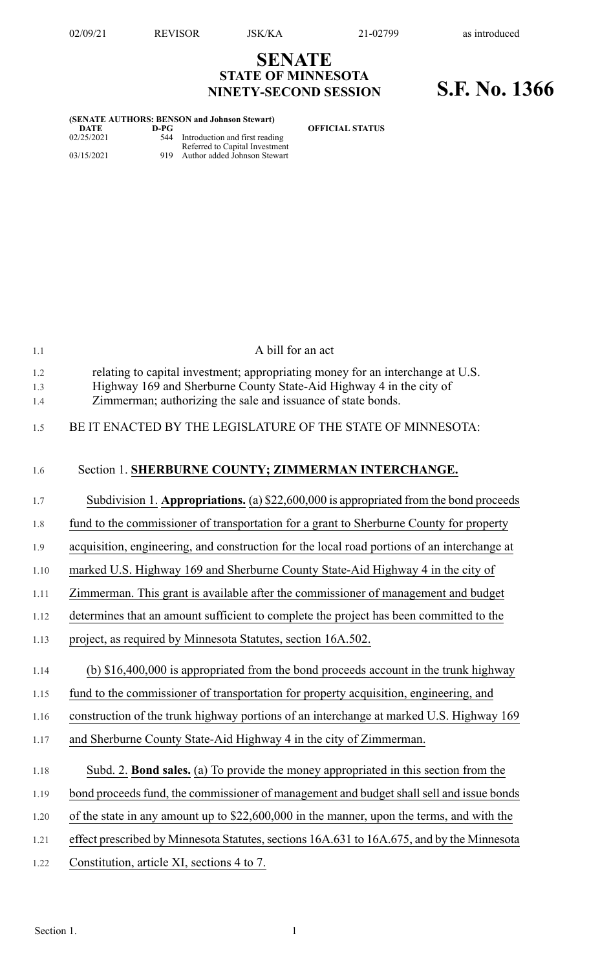**DATE D-PG OFFICIAL STATUS**

## **SENATE STATE OF MINNESOTA NINETY-SECOND SESSION S.F. No. 1366**

| (SENATE AUTHORS: BENSON and Johnson Stewart) |      |                                                                |
|----------------------------------------------|------|----------------------------------------------------------------|
| DATE                                         | D-PG |                                                                |
| 02/25/2021                                   |      | 544 Introduction and first reading                             |
| 03/15/2021                                   | 919  | Referred to Capital Investment<br>Author added Johnson Stewart |

| 1.1               | A bill for an act                                                                                                                                                                                                     |
|-------------------|-----------------------------------------------------------------------------------------------------------------------------------------------------------------------------------------------------------------------|
| 1.2<br>1.3<br>1.4 | relating to capital investment; appropriating money for an interchange at U.S.<br>Highway 169 and Sherburne County State-Aid Highway 4 in the city of<br>Zimmerman; authorizing the sale and issuance of state bonds. |
| 1.5               | BE IT ENACTED BY THE LEGISLATURE OF THE STATE OF MINNESOTA:                                                                                                                                                           |
| 1.6               | Section 1. SHERBURNE COUNTY; ZIMMERMAN INTERCHANGE.                                                                                                                                                                   |
| 1.7               | Subdivision 1. Appropriations. (a) $$22,600,000$ is appropriated from the bond proceeds                                                                                                                               |
| 1.8               | fund to the commissioner of transportation for a grant to Sherburne County for property                                                                                                                               |
| 1.9               | acquisition, engineering, and construction for the local road portions of an interchange at                                                                                                                           |
| 1.10              | marked U.S. Highway 169 and Sherburne County State-Aid Highway 4 in the city of                                                                                                                                       |
| 1.11              | Zimmerman. This grant is available after the commissioner of management and budget                                                                                                                                    |
| 1.12              | determines that an amount sufficient to complete the project has been committed to the                                                                                                                                |
| 1.13              | project, as required by Minnesota Statutes, section 16A.502.                                                                                                                                                          |
| 1.14              | (b) \$16,400,000 is appropriated from the bond proceeds account in the trunk highway                                                                                                                                  |
| 1.15              | fund to the commissioner of transportation for property acquisition, engineering, and                                                                                                                                 |
| 1.16              | construction of the trunk highway portions of an interchange at marked U.S. Highway 169                                                                                                                               |
| 1.17              | and Sherburne County State-Aid Highway 4 in the city of Zimmerman.                                                                                                                                                    |
| 1.18              | Subd. 2. Bond sales. (a) To provide the money appropriated in this section from the                                                                                                                                   |
| 1.19              | bond proceeds fund, the commissioner of management and budget shall sell and issue bonds                                                                                                                              |
| 1.20              | of the state in any amount up to \$22,600,000 in the manner, upon the terms, and with the                                                                                                                             |
| 1.21              | effect prescribed by Minnesota Statutes, sections 16A.631 to 16A.675, and by the Minnesota                                                                                                                            |
| 1.22              | Constitution, article XI, sections 4 to 7.                                                                                                                                                                            |